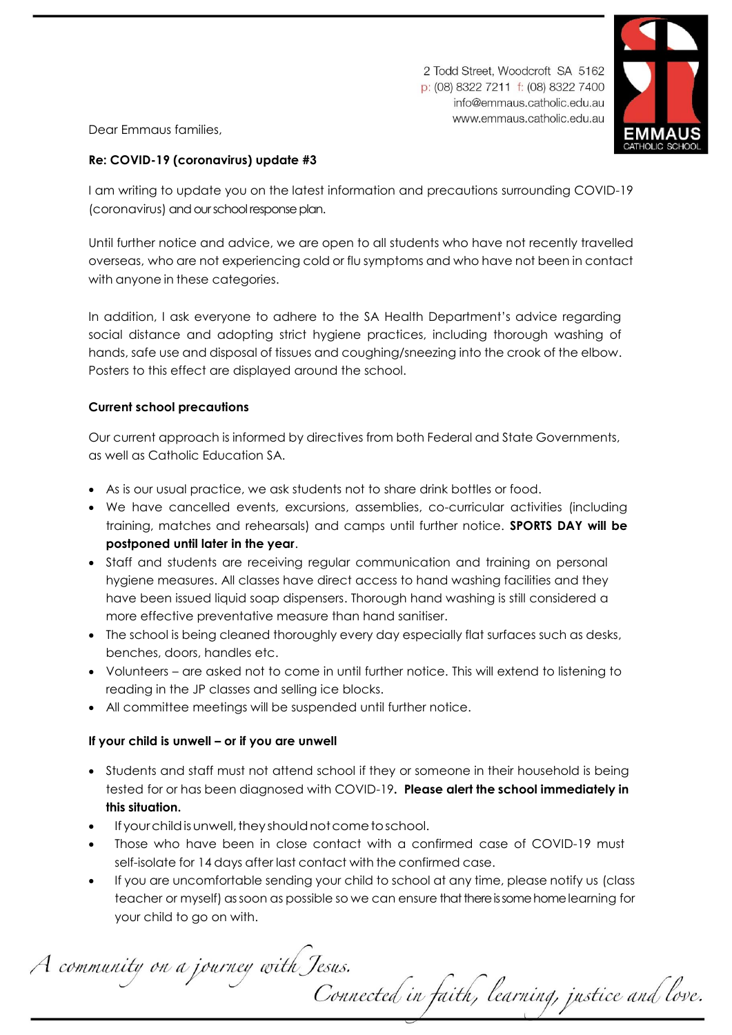2 Todd Street, Woodcroft SA 5162 p: (08) 8322 7211 f: (08) 8322 7400 info@emmaus.catholic.edu.au www.emmaus.catholic.edu.au



Dear Emmaus families,

# **Re: COVID-19 (coronavirus) update #3**

I am writing to update you on the latest information and precautions surrounding COVID-19 (coronavirus) and our school response plan.

Until further notice and advice, we are open to all students who have not recently travelled overseas, who are not experiencing cold or flu symptoms and who have not been in contact with anyone in these categories.

In addition, I ask everyone to adhere to the SA Health Department's advice regarding social distance and adopting strict hygiene practices, including thorough washing of hands, safe use and disposal of tissues and coughing/sneezing into the crook of the elbow. Posters to this effect are displayed around the school.

## **Current school precautions**

Our current approach is informed by directives from both Federal and State Governments, as well as Catholic Education SA.

- As is our usual practice, we ask students not to share drink bottles or food.
- We have cancelled events, excursions, assemblies, co-curricular activities (including training, matches and rehearsals) and camps until further notice. **SPORTS DAY will be postponed until later in the year**.
- Staff and students are receiving regular communication and training on personal hygiene measures. All classes have direct access to hand washing facilities and they have been issued liquid soap dispensers. Thorough hand washing is still considered a more effective preventative measure than hand sanitiser.
- The school is being cleaned thoroughly every day especially flat surfaces such as desks, benches, doors, handles etc.
- Volunteers are asked not to come in until further notice. This will extend to listening to reading in the JP classes and selling ice blocks.
- All committee meetings will be suspended until further notice.

# **If your child is unwell – or if you are unwell**

- Students and staff must not attend school if they or someone in their household is being tested for or has been diagnosed with COVID-19**. Please alert the school immediately in this situation.**
- If your child is unwell, they should not come to school.
- Those who have been in close contact with a confirmed case of COVID-19 must self-isolate for 14 days after last contact with the confirmed case.
- If you are uncomfortable sending your child to school at any time, please notify us (class teacher or myself) as soon as possible so we can ensure that there is some home learning for your child to go on with.

A community on a journey with Jesus. Connected in faith, learning, justice and love.